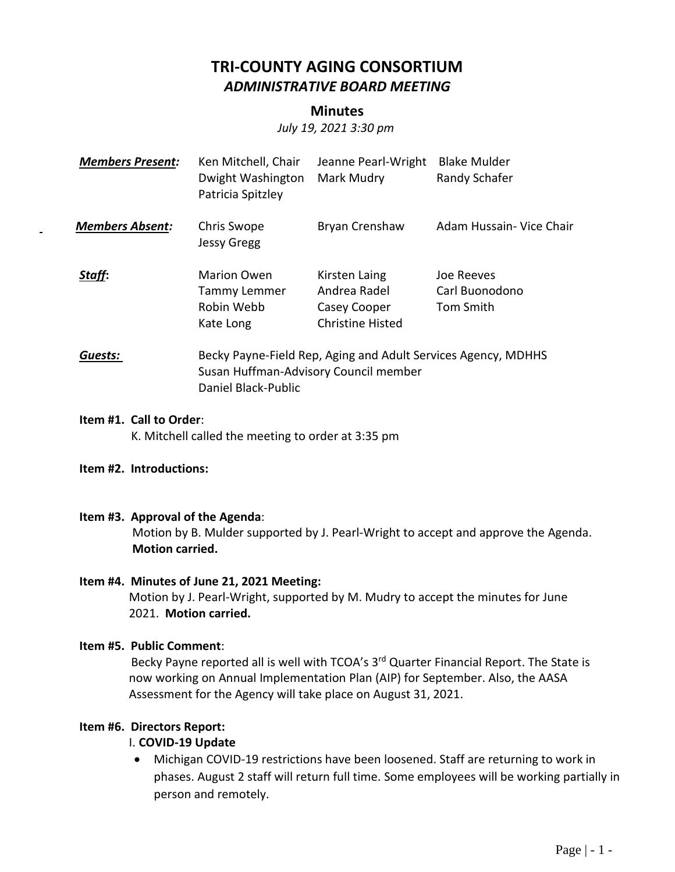# **TRI-COUNTY AGING CONSORTIUM** *ADMINISTRATIVE BOARD MEETING*

#### **Minutes**

*July 19, 2021 3:30 pm*

| <b>Members Present:</b> | Ken Mitchell, Chair<br>Dwight Washington<br>Patricia Spitzley                                          | Jeanne Pearl-Wright<br>Mark Mudry                                        | <b>Blake Mulder</b><br>Randy Schafer      |
|-------------------------|--------------------------------------------------------------------------------------------------------|--------------------------------------------------------------------------|-------------------------------------------|
| <b>Members Absent:</b>  | Chris Swope<br><b>Jessy Gregg</b>                                                                      | Bryan Crenshaw                                                           | Adam Hussain- Vice Chair                  |
| Staff:                  | <b>Marion Owen</b><br><b>Tammy Lemmer</b><br>Robin Webb<br>Kate Long                                   | Kirsten Laing<br>Andrea Radel<br>Casey Cooper<br><b>Christine Histed</b> | Joe Reeves<br>Carl Buonodono<br>Tom Smith |
| Guests:                 | Becky Payne-Field Rep, Aging and Adult Services Agency, MDHHS<br>Susan Huffman-Advisory Council member |                                                                          |                                           |

Daniel Black-Public

# **Item #1. Call to Order**:

K. Mitchell called the meeting to order at 3:35 pm

#### **Item #2. Introductions:**

#### **Item #3. Approval of the Agenda**:

Motion by B. Mulder supported by J. Pearl-Wright to accept and approve the Agenda. **Motion carried.**

#### **Item #4. Minutes of June 21, 2021 Meeting:**

Motion by J. Pearl-Wright, supported by M. Mudry to accept the minutes for June 2021. **Motion carried.**

#### **Item #5. Public Comment**:

Becky Payne reported all is well with TCOA's 3<sup>rd</sup> Quarter Financial Report. The State is now working on Annual Implementation Plan (AIP) for September. Also, the AASA Assessment for the Agency will take place on August 31, 2021.

#### **Item #6. Directors Report:**

#### I. **COVID-19 Update**

• Michigan COVID-19 restrictions have been loosened. Staff are returning to work in phases. August 2 staff will return full time. Some employees will be working partially in person and remotely.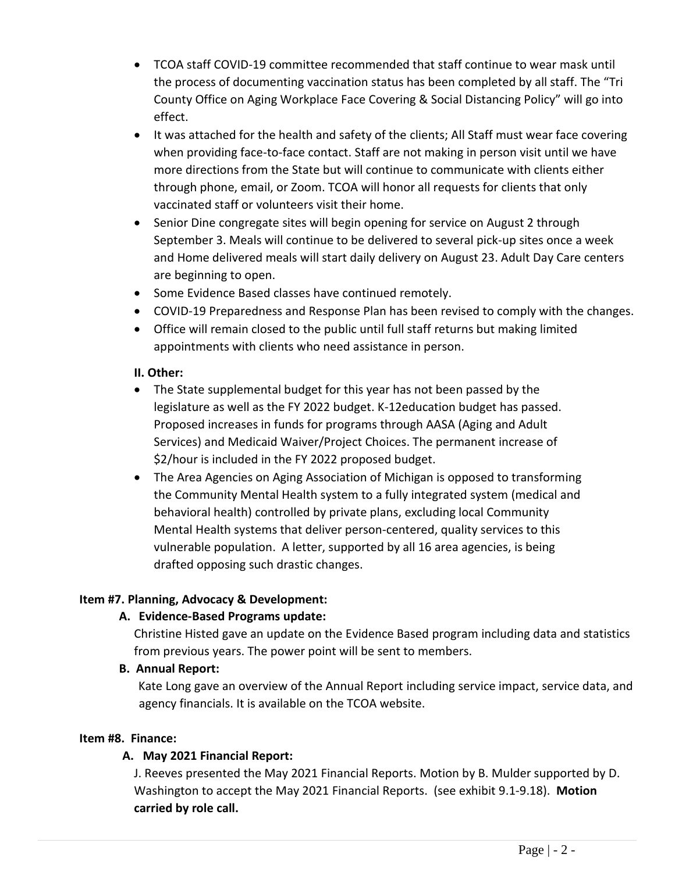- TCOA staff COVID-19 committee recommended that staff continue to wear mask until the process of documenting vaccination status has been completed by all staff. The "Tri County Office on Aging Workplace Face Covering & Social Distancing Policy" will go into effect.
- It was attached for the health and safety of the clients; All Staff must wear face covering when providing face-to-face contact. Staff are not making in person visit until we have more directions from the State but will continue to communicate with clients either through phone, email, or Zoom. TCOA will honor all requests for clients that only vaccinated staff or volunteers visit their home.
- Senior Dine congregate sites will begin opening for service on August 2 through September 3. Meals will continue to be delivered to several pick-up sites once a week and Home delivered meals will start daily delivery on August 23. Adult Day Care centers are beginning to open.
- Some Evidence Based classes have continued remotely.
- COVID-19 Preparedness and Response Plan has been revised to comply with the changes.
- Office will remain closed to the public until full staff returns but making limited appointments with clients who need assistance in person.

#### **II. Other:**

- The State supplemental budget for this year has not been passed by the legislature as well as the FY 2022 budget. K-12education budget has passed. Proposed increases in funds for programs through AASA (Aging and Adult Services) and Medicaid Waiver/Project Choices. The permanent increase of \$2/hour is included in the FY 2022 proposed budget.
- The Area Agencies on Aging Association of Michigan is opposed to transforming the Community Mental Health system to a fully integrated system (medical and behavioral health) controlled by private plans, excluding local Community Mental Health systems that deliver person-centered, quality services to this vulnerable population. A letter, supported by all 16 area agencies, is being drafted opposing such drastic changes.

### **Item #7. Planning, Advocacy & Development:**

#### **A. Evidence-Based Programs update:**

Christine Histed gave an update on the Evidence Based program including data and statistics from previous years. The power point will be sent to members.

#### **B. Annual Report:**

Kate Long gave an overview of the Annual Report including service impact, service data, and agency financials. It is available on the TCOA website.

#### **Item #8. Finance:**

#### **A. May 2021 Financial Report:**

J. Reeves presented the May 2021 Financial Reports. Motion by B. Mulder supported by D. Washington to accept the May 2021 Financial Reports. (see exhibit 9.1-9.18). **Motion carried by role call.**